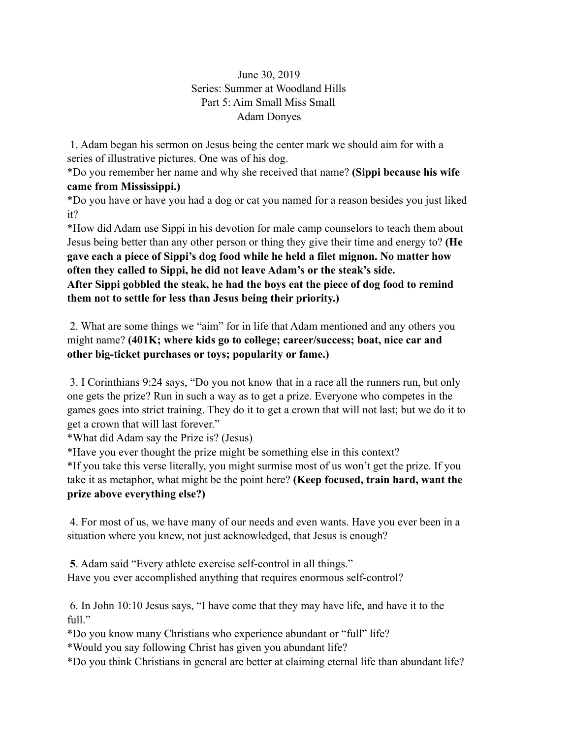## June 30, 2019 Series: Summer at Woodland Hills Part 5: Aim Small Miss Small Adam Donyes

 1. Adam began his sermon on Jesus being the center mark we should aim for with a series of illustrative pictures. One was of his dog.

\*Do you remember her name and why she received that name? **(Sippi because his wife came from Mississippi.)** 

\*Do you have or have you had a dog or cat you named for a reason besides you just liked it?

\*How did Adam use Sippi in his devotion for male camp counselors to teach them about Jesus being better than any other person or thing they give their time and energy to? **(He gave each a piece of Sippi's dog food while he held a filet mignon. No matter how often they called to Sippi, he did not leave Adam's or the steak's side.** 

**After Sippi gobbled the steak, he had the boys eat the piece of dog food to remind them not to settle for less than Jesus being their priority.)** 

 2. What are some things we "aim" for in life that Adam mentioned and any others you might name? **(401K; where kids go to college; career/success; boat, nice car and other big-ticket purchases or toys; popularity or fame.)** 

 3. I Corinthians 9:24 says, "Do you not know that in a race all the runners run, but only one gets the prize? Run in such a way as to get a prize. Everyone who competes in the games goes into strict training. They do it to get a crown that will not last; but we do it to get a crown that will last forever."

\*What did Adam say the Prize is? (Jesus)

\*Have you ever thought the prize might be something else in this context?

\*If you take this verse literally, you might surmise most of us won't get the prize. If you take it as metaphor, what might be the point here? **(Keep focused, train hard, want the prize above everything else?)** 

 4. For most of us, we have many of our needs and even wants. Have you ever been in a situation where you knew, not just acknowledged, that Jesus is enough?

 **5**. Adam said "Every athlete exercise self-control in all things." Have you ever accomplished anything that requires enormous self-control?

 6. In John 10:10 Jesus says, "I have come that they may have life, and have it to the full."

\*Do you know many Christians who experience abundant or "full" life?

\*Would you say following Christ has given you abundant life?

\*Do you think Christians in general are better at claiming eternal life than abundant life?